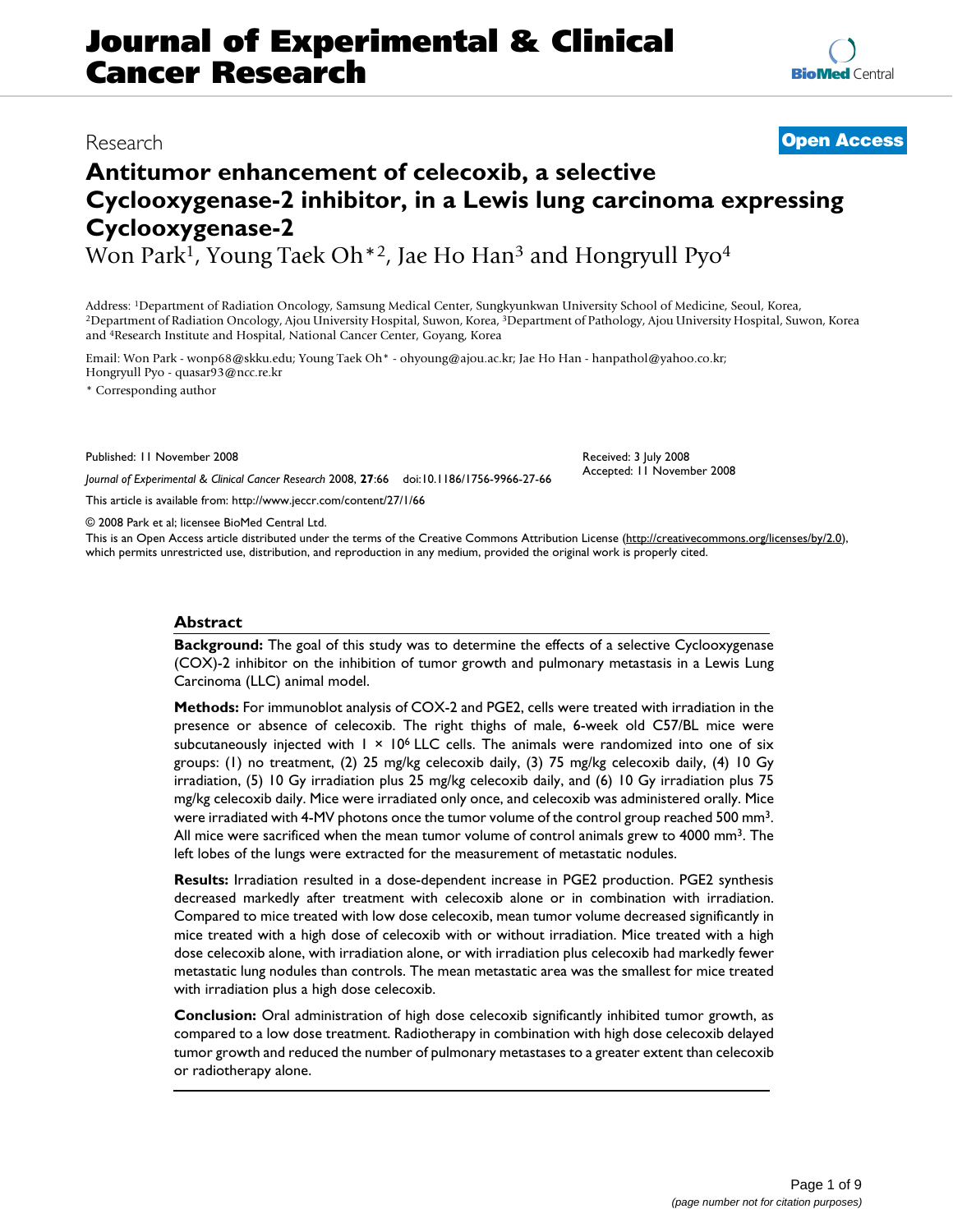# **Journal of Experimental & Clinical Cancer Research**

# **Antitumor enhancement of celecoxib, a selective Cyclooxygenase-2 inhibitor, in a Lewis lung carcinoma expressing Cyclooxygenase-2**

Won Park<sup>1</sup>, Young Taek Oh<sup>\*2</sup>, Jae Ho Han<sup>3</sup> and Hongryull Pyo<sup>4</sup>

Address: <sup>1</sup>Department of Radiation Oncology, Samsung Medical Center, Sungkyunkwan University School of Medicine, Seoul, Korea,<br><sup>2</sup>Department of Radiation Oncology, Ajou University Hospital, Suwon, Korea, <sup>3</sup>Department of and 4Research Institute and Hospital, National Cancer Center, Goyang, Korea

Email: Won Park - wonp68@skku.edu; Young Taek Oh\* - ohyoung@ajou.ac.kr; Jae Ho Han - hanpathol@yahoo.co.kr; Hongryull Pyo - quasar93@ncc.re.kr

\* Corresponding author

Published: 11 November 2008

*Journal of Experimental & Clinical Cancer Research* 2008, **27**:66 doi:10.1186/1756-9966-27-66 Received: 3 July 2008 Accepted: 11 November 2008

[This article is available from: http://www.jeccr.com/content/27/1/66](http://www.jeccr.com/content/27/1/66)

© 2008 Park et al; licensee BioMed Central Ltd.

This is an Open Access article distributed under the terms of the Creative Commons Attribution License [\(http://creativecommons.org/licenses/by/2.0\)](http://creativecommons.org/licenses/by/2.0), which permits unrestricted use, distribution, and reproduction in any medium, provided the original work is properly cited.

### **Abstract**

**Background:** The goal of this study was to determine the effects of a selective Cyclooxygenase (COX)-2 inhibitor on the inhibition of tumor growth and pulmonary metastasis in a Lewis Lung Carcinoma (LLC) animal model.

**Methods:** For immunoblot analysis of COX-2 and PGE2, cells were treated with irradiation in the presence or absence of celecoxib. The right thighs of male, 6-week old C57/BL mice were subcutaneously injected with  $1 \times 10^6$  LLC cells. The animals were randomized into one of six groups: (1) no treatment, (2) 25 mg/kg celecoxib daily, (3) 75 mg/kg celecoxib daily, (4) 10 Gy irradiation, (5) 10 Gy irradiation plus 25 mg/kg celecoxib daily, and (6) 10 Gy irradiation plus 75 mg/kg celecoxib daily. Mice were irradiated only once, and celecoxib was administered orally. Mice were irradiated with 4-MV photons once the tumor volume of the control group reached 500 mm3. All mice were sacrificed when the mean tumor volume of control animals grew to 4000 mm3. The left lobes of the lungs were extracted for the measurement of metastatic nodules.

**Results:** Irradiation resulted in a dose-dependent increase in PGE2 production. PGE2 synthesis decreased markedly after treatment with celecoxib alone or in combination with irradiation. Compared to mice treated with low dose celecoxib, mean tumor volume decreased significantly in mice treated with a high dose of celecoxib with or without irradiation. Mice treated with a high dose celecoxib alone, with irradiation alone, or with irradiation plus celecoxib had markedly fewer metastatic lung nodules than controls. The mean metastatic area was the smallest for mice treated with irradiation plus a high dose celecoxib.

**Conclusion:** Oral administration of high dose celecoxib significantly inhibited tumor growth, as compared to a low dose treatment. Radiotherapy in combination with high dose celecoxib delayed tumor growth and reduced the number of pulmonary metastases to a greater extent than celecoxib or radiotherapy alone.

Research **[Open Access](http://www.biomedcentral.com/info/about/charter/)**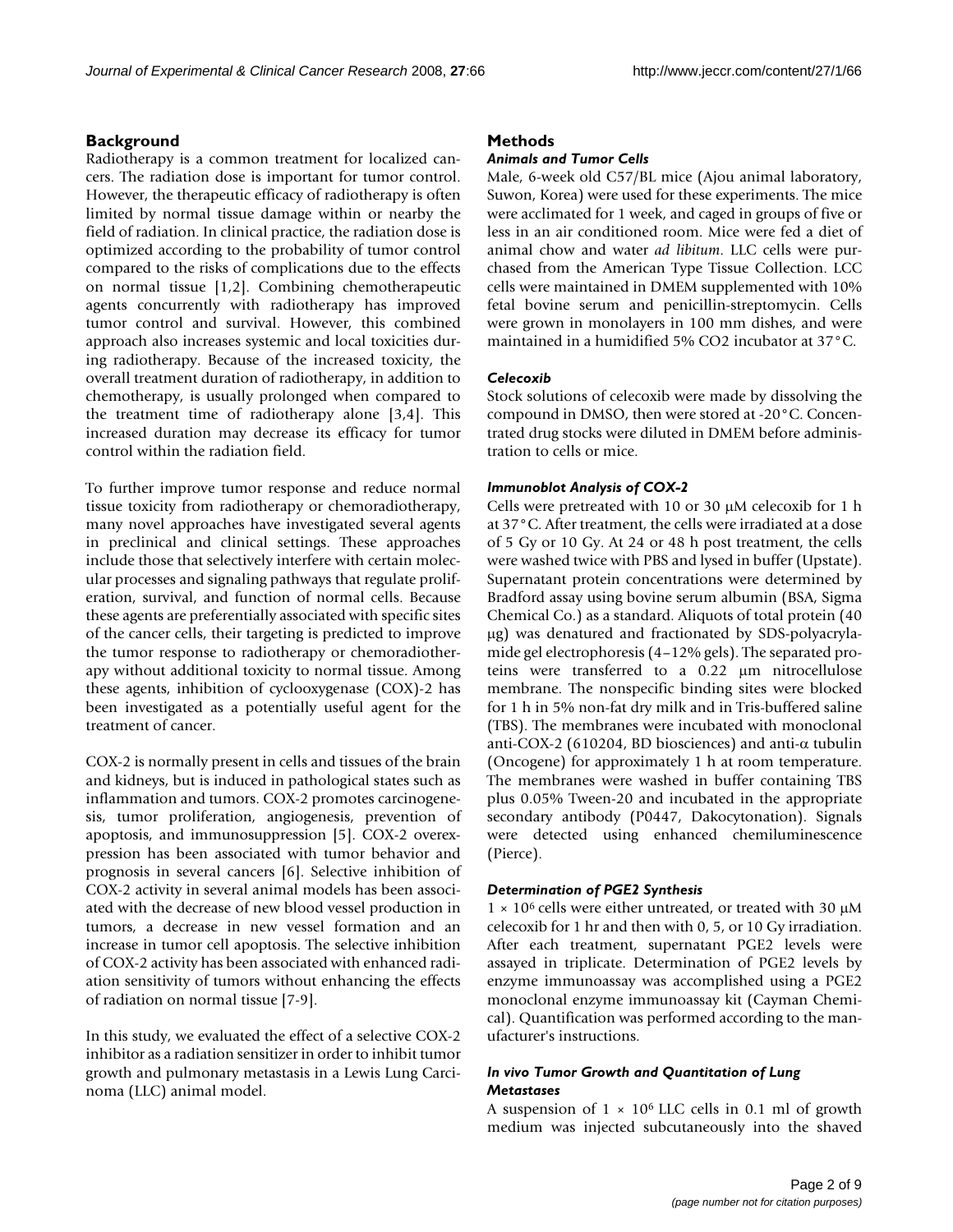# **Background**

Radiotherapy is a common treatment for localized cancers. The radiation dose is important for tumor control. However, the therapeutic efficacy of radiotherapy is often limited by normal tissue damage within or nearby the field of radiation. In clinical practice, the radiation dose is optimized according to the probability of tumor control compared to the risks of complications due to the effects on normal tissue [1,2]. Combining chemotherapeutic agents concurrently with radiotherapy has improved tumor control and survival. However, this combined approach also increases systemic and local toxicities during radiotherapy. Because of the increased toxicity, the overall treatment duration of radiotherapy, in addition to chemotherapy, is usually prolonged when compared to the treatment time of radiotherapy alone [3,4]. This increased duration may decrease its efficacy for tumor control within the radiation field.

To further improve tumor response and reduce normal tissue toxicity from radiotherapy or chemoradiotherapy, many novel approaches have investigated several agents in preclinical and clinical settings. These approaches include those that selectively interfere with certain molecular processes and signaling pathways that regulate proliferation, survival, and function of normal cells. Because these agents are preferentially associated with specific sites of the cancer cells, their targeting is predicted to improve the tumor response to radiotherapy or chemoradiotherapy without additional toxicity to normal tissue. Among these agents, inhibition of cyclooxygenase (COX)-2 has been investigated as a potentially useful agent for the treatment of cancer.

COX-2 is normally present in cells and tissues of the brain and kidneys, but is induced in pathological states such as inflammation and tumors. COX-2 promotes carcinogenesis, tumor proliferation, angiogenesis, prevention of apoptosis, and immunosuppression [5]. COX-2 overexpression has been associated with tumor behavior and prognosis in several cancers [6]. Selective inhibition of COX-2 activity in several animal models has been associated with the decrease of new blood vessel production in tumors, a decrease in new vessel formation and an increase in tumor cell apoptosis. The selective inhibition of COX-2 activity has been associated with enhanced radiation sensitivity of tumors without enhancing the effects of radiation on normal tissue [7-9].

In this study, we evaluated the effect of a selective COX-2 inhibitor as a radiation sensitizer in order to inhibit tumor growth and pulmonary metastasis in a Lewis Lung Carcinoma (LLC) animal model.

# **Methods**

#### *Animals and Tumor Cells*

Male, 6-week old C57/BL mice (Ajou animal laboratory, Suwon, Korea) were used for these experiments. The mice were acclimated for 1 week, and caged in groups of five or less in an air conditioned room. Mice were fed a diet of animal chow and water *ad libitum*. LLC cells were purchased from the American Type Tissue Collection. LCC cells were maintained in DMEM supplemented with 10% fetal bovine serum and penicillin-streptomycin. Cells were grown in monolayers in 100 mm dishes, and were maintained in a humidified 5% CO2 incubator at 37°C.

### *Celecoxib*

Stock solutions of celecoxib were made by dissolving the compound in DMSO, then were stored at -20°C. Concentrated drug stocks were diluted in DMEM before administration to cells or mice.

# *Immunoblot Analysis of COX-2*

Cells were pretreated with 10 or 30 μM celecoxib for 1 h at 37°C. After treatment, the cells were irradiated at a dose of 5 Gy or 10 Gy. At 24 or 48 h post treatment, the cells were washed twice with PBS and lysed in buffer (Upstate). Supernatant protein concentrations were determined by Bradford assay using bovine serum albumin (BSA, Sigma Chemical Co.) as a standard. Aliquots of total protein (40 μg) was denatured and fractionated by SDS-polyacrylamide gel electrophoresis (4–12% gels). The separated proteins were transferred to a 0.22 μm nitrocellulose membrane. The nonspecific binding sites were blocked for 1 h in 5% non-fat dry milk and in Tris-buffered saline (TBS). The membranes were incubated with monoclonal anti-COX-2 (610204, BD biosciences) and anti-α tubulin (Oncogene) for approximately 1 h at room temperature. The membranes were washed in buffer containing TBS plus 0.05% Tween-20 and incubated in the appropriate secondary antibody (P0447, Dakocytonation). Signals were detected using enhanced chemiluminescence (Pierce).

### *Determination of PGE2 Synthesis*

 $1 \times 10^6$  cells were either untreated, or treated with 30 μM celecoxib for 1 hr and then with 0, 5, or 10 Gy irradiation. After each treatment, supernatant PGE2 levels were assayed in triplicate. Determination of PGE2 levels by enzyme immunoassay was accomplished using a PGE2 monoclonal enzyme immunoassay kit (Cayman Chemical). Quantification was performed according to the manufacturer's instructions.

# *In vivo Tumor Growth and Quantitation of Lung Metastases*

A suspension of  $1 \times 10^6$  LLC cells in 0.1 ml of growth medium was injected subcutaneously into the shaved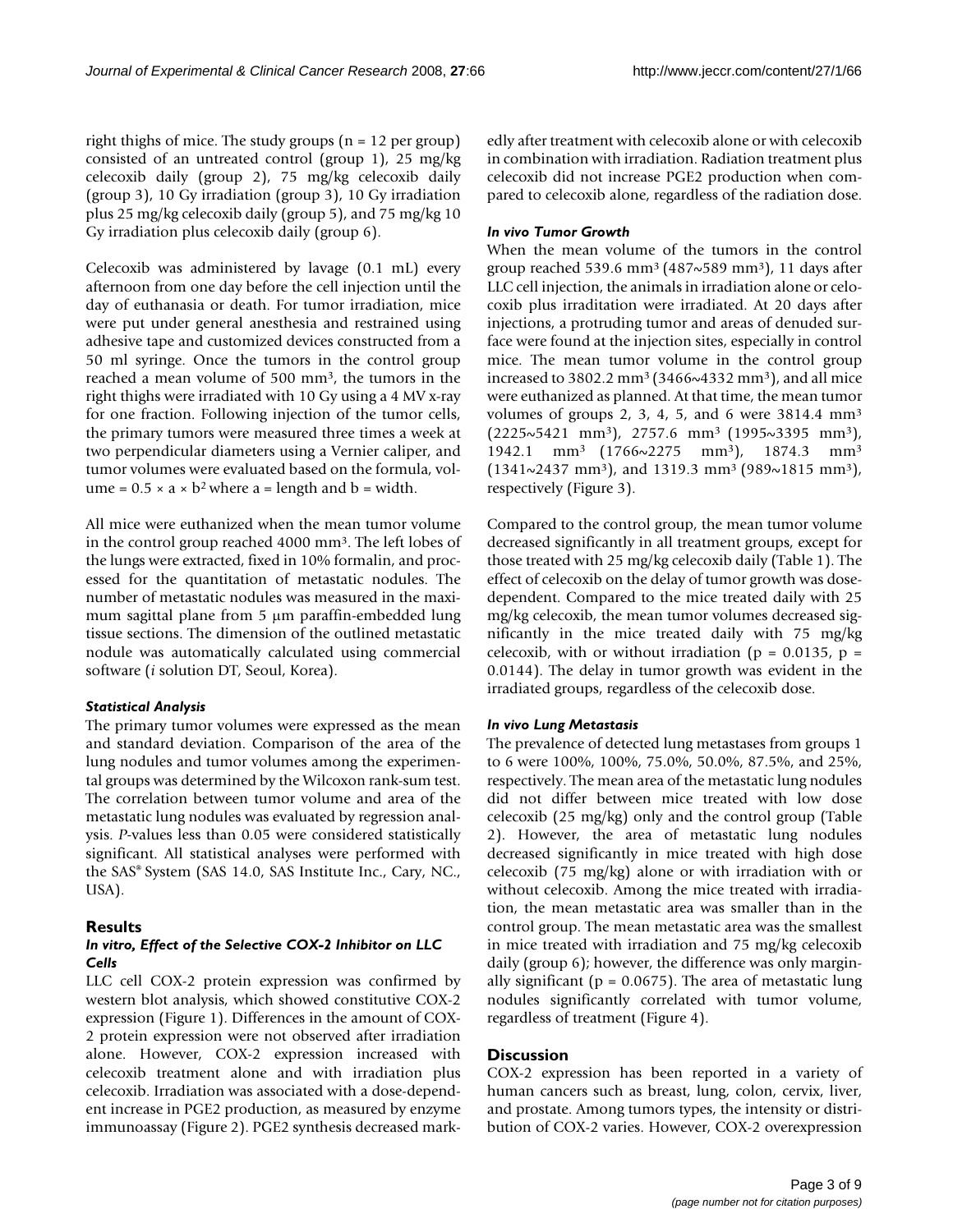right thighs of mice. The study groups  $(n = 12 \text{ per group})$ consisted of an untreated control (group 1), 25 mg/kg celecoxib daily (group 2), 75 mg/kg celecoxib daily (group 3), 10 Gy irradiation (group 3), 10 Gy irradiation plus 25 mg/kg celecoxib daily (group 5), and 75 mg/kg 10 Gy irradiation plus celecoxib daily (group 6).

Celecoxib was administered by lavage (0.1 mL) every afternoon from one day before the cell injection until the day of euthanasia or death. For tumor irradiation, mice were put under general anesthesia and restrained using adhesive tape and customized devices constructed from a 50 ml syringe. Once the tumors in the control group reached a mean volume of 500 mm3, the tumors in the right thighs were irradiated with 10 Gy using a 4 MV x-ray for one fraction. Following injection of the tumor cells, the primary tumors were measured three times a week at two perpendicular diameters using a Vernier caliper, and tumor volumes were evaluated based on the formula, volume =  $0.5 \times a \times b^2$  where a = length and b = width.

All mice were euthanized when the mean tumor volume in the control group reached 4000 mm3. The left lobes of the lungs were extracted, fixed in 10% formalin, and processed for the quantitation of metastatic nodules. The number of metastatic nodules was measured in the maximum sagittal plane from 5 μm paraffin-embedded lung tissue sections. The dimension of the outlined metastatic nodule was automatically calculated using commercial software (*i* solution DT, Seoul, Korea).

# *Statistical Analysis*

The primary tumor volumes were expressed as the mean and standard deviation. Comparison of the area of the lung nodules and tumor volumes among the experimental groups was determined by the Wilcoxon rank-sum test. The correlation between tumor volume and area of the metastatic lung nodules was evaluated by regression analysis. *P-*values less than 0.05 were considered statistically significant. All statistical analyses were performed with the SAS® System (SAS 14.0, SAS Institute Inc., Cary, NC., USA).

# **Results**

# *In vitro, Effect of the Selective COX-2 Inhibitor on LLC Cells*

LLC cell COX-2 protein expression was confirmed by western blot analysis, which showed constitutive COX-2 expression (Figure 1). Differences in the amount of COX-2 protein expression were not observed after irradiation alone. However, COX-2 expression increased with celecoxib treatment alone and with irradiation plus celecoxib. Irradiation was associated with a dose-dependent increase in PGE2 production, as measured by enzyme immunoassay (Figure 2). PGE2 synthesis decreased markedly after treatment with celecoxib alone or with celecoxib in combination with irradiation. Radiation treatment plus celecoxib did not increase PGE2 production when compared to celecoxib alone, regardless of the radiation dose.

# *In vivo Tumor Growth*

When the mean volume of the tumors in the control group reached 539.6 mm3 (487~589 mm3), 11 days after LLC cell injection, the animals in irradiation alone or celocoxib plus irraditation were irradiated. At 20 days after injections, a protruding tumor and areas of denuded surface were found at the injection sites, especially in control mice. The mean tumor volume in the control group increased to 3802.2 mm3 (3466~4332 mm3), and all mice were euthanized as planned. At that time, the mean tumor volumes of groups 2, 3, 4, 5, and 6 were 3814.4 mm3  $(2225\sim5421 \text{ mm}^3)$ , 2757.6 mm<sup>3</sup> (1995~3395 mm<sup>3</sup>), 1942.1 mm3 (1766~2275 mm3), 1874.3 mm3  $(1341\sim2437 \text{ mm}^3)$ , and 1319.3 mm<sup>3</sup> (989 $\sim$ 1815 mm<sup>3</sup>), respectively (Figure 3).

Compared to the control group, the mean tumor volume decreased significantly in all treatment groups, except for those treated with 25 mg/kg celecoxib daily (Table 1). The effect of celecoxib on the delay of tumor growth was dosedependent. Compared to the mice treated daily with 25 mg/kg celecoxib, the mean tumor volumes decreased significantly in the mice treated daily with 75 mg/kg celecoxib, with or without irradiation ( $p = 0.0135$ ,  $p =$ 0.0144). The delay in tumor growth was evident in the irradiated groups, regardless of the celecoxib dose.

# *In vivo Lung Metastasis*

The prevalence of detected lung metastases from groups 1 to 6 were 100%, 100%, 75.0%, 50.0%, 87.5%, and 25%, respectively. The mean area of the metastatic lung nodules did not differ between mice treated with low dose celecoxib (25 mg/kg) only and the control group (Table 2). However, the area of metastatic lung nodules decreased significantly in mice treated with high dose celecoxib (75 mg/kg) alone or with irradiation with or without celecoxib. Among the mice treated with irradiation, the mean metastatic area was smaller than in the control group. The mean metastatic area was the smallest in mice treated with irradiation and 75 mg/kg celecoxib daily (group 6); however, the difference was only marginally significant ( $p = 0.0675$ ). The area of metastatic lung nodules significantly correlated with tumor volume, regardless of treatment (Figure 4).

# **Discussion**

COX-2 expression has been reported in a variety of human cancers such as breast, lung, colon, cervix, liver, and prostate. Among tumors types, the intensity or distribution of COX-2 varies. However, COX-2 overexpression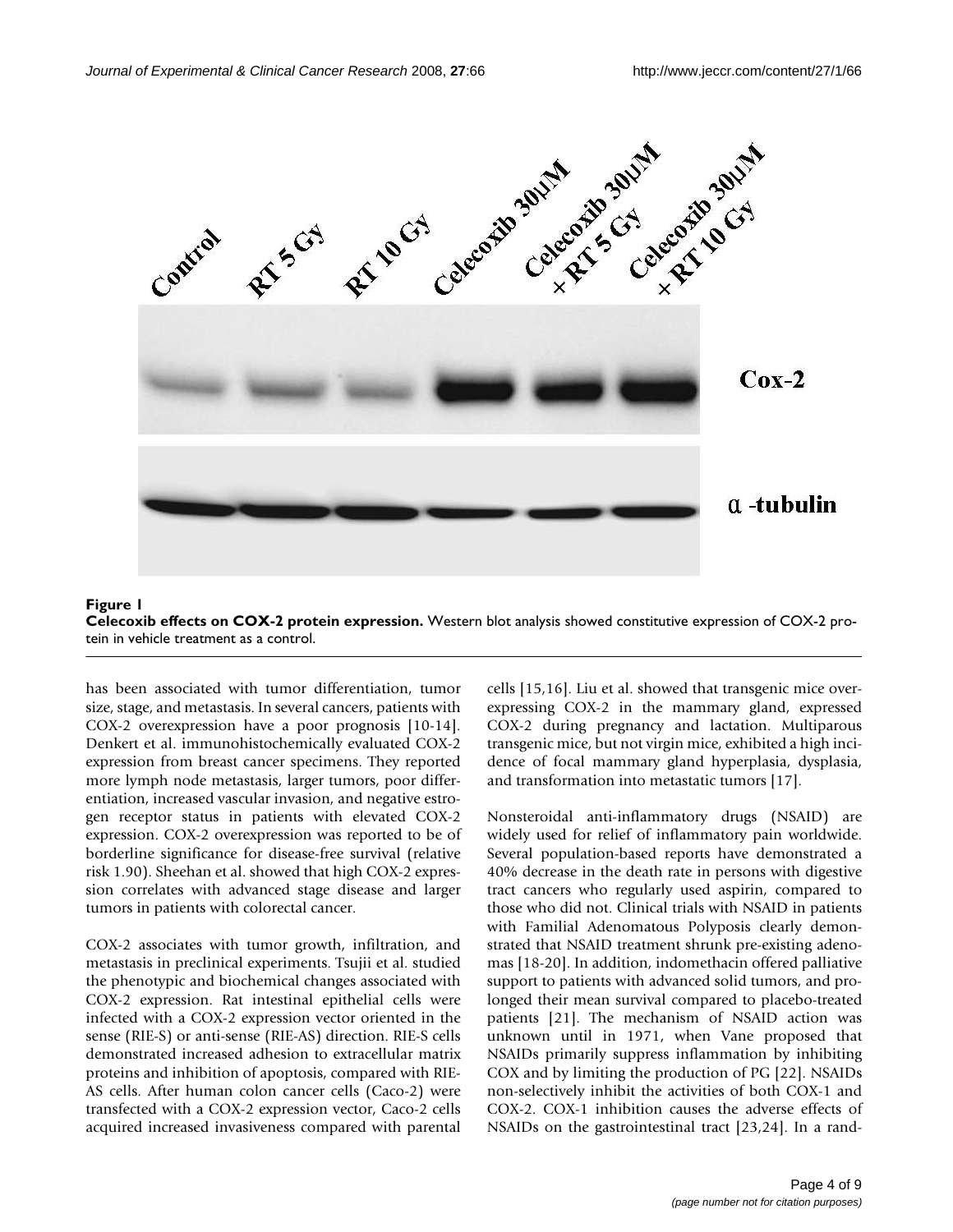

#### Figure 1 **Celecoxib effects on COX-2 protein expression.** Western blot analysis showed constitutive expression of COX-2 protein in vehicle treatment as a control.

has been associated with tumor differentiation, tumor size, stage, and metastasis. In several cancers, patients with COX-2 overexpression have a poor prognosis [10-14]. Denkert et al. immunohistochemically evaluated COX-2 expression from breast cancer specimens. They reported more lymph node metastasis, larger tumors, poor differentiation, increased vascular invasion, and negative estrogen receptor status in patients with elevated COX-2 expression. COX-2 overexpression was reported to be of borderline significance for disease-free survival (relative risk 1.90). Sheehan et al. showed that high COX-2 expression correlates with advanced stage disease and larger tumors in patients with colorectal cancer.

COX-2 associates with tumor growth, infiltration, and metastasis in preclinical experiments. Tsujii et al. studied the phenotypic and biochemical changes associated with COX-2 expression. Rat intestinal epithelial cells were infected with a COX-2 expression vector oriented in the sense (RIE-S) or anti-sense (RIE-AS) direction. RIE-S cells demonstrated increased adhesion to extracellular matrix proteins and inhibition of apoptosis, compared with RIE-AS cells. After human colon cancer cells (Caco-2) were transfected with a COX-2 expression vector, Caco-2 cells acquired increased invasiveness compared with parental

cells [15,16]. Liu et al. showed that transgenic mice overexpressing COX-2 in the mammary gland, expressed COX-2 during pregnancy and lactation. Multiparous transgenic mice, but not virgin mice, exhibited a high incidence of focal mammary gland hyperplasia, dysplasia, and transformation into metastatic tumors [17].

Nonsteroidal anti-inflammatory drugs (NSAID) are widely used for relief of inflammatory pain worldwide. Several population-based reports have demonstrated a 40% decrease in the death rate in persons with digestive tract cancers who regularly used aspirin, compared to those who did not. Clinical trials with NSAID in patients with Familial Adenomatous Polyposis clearly demonstrated that NSAID treatment shrunk pre-existing adenomas [18-20]. In addition, indomethacin offered palliative support to patients with advanced solid tumors, and prolonged their mean survival compared to placebo-treated patients [21]. The mechanism of NSAID action was unknown until in 1971, when Vane proposed that NSAIDs primarily suppress inflammation by inhibiting COX and by limiting the production of PG [22]. NSAIDs non-selectively inhibit the activities of both COX-1 and COX-2. COX-1 inhibition causes the adverse effects of NSAIDs on the gastrointestinal tract [23,24]. In a rand-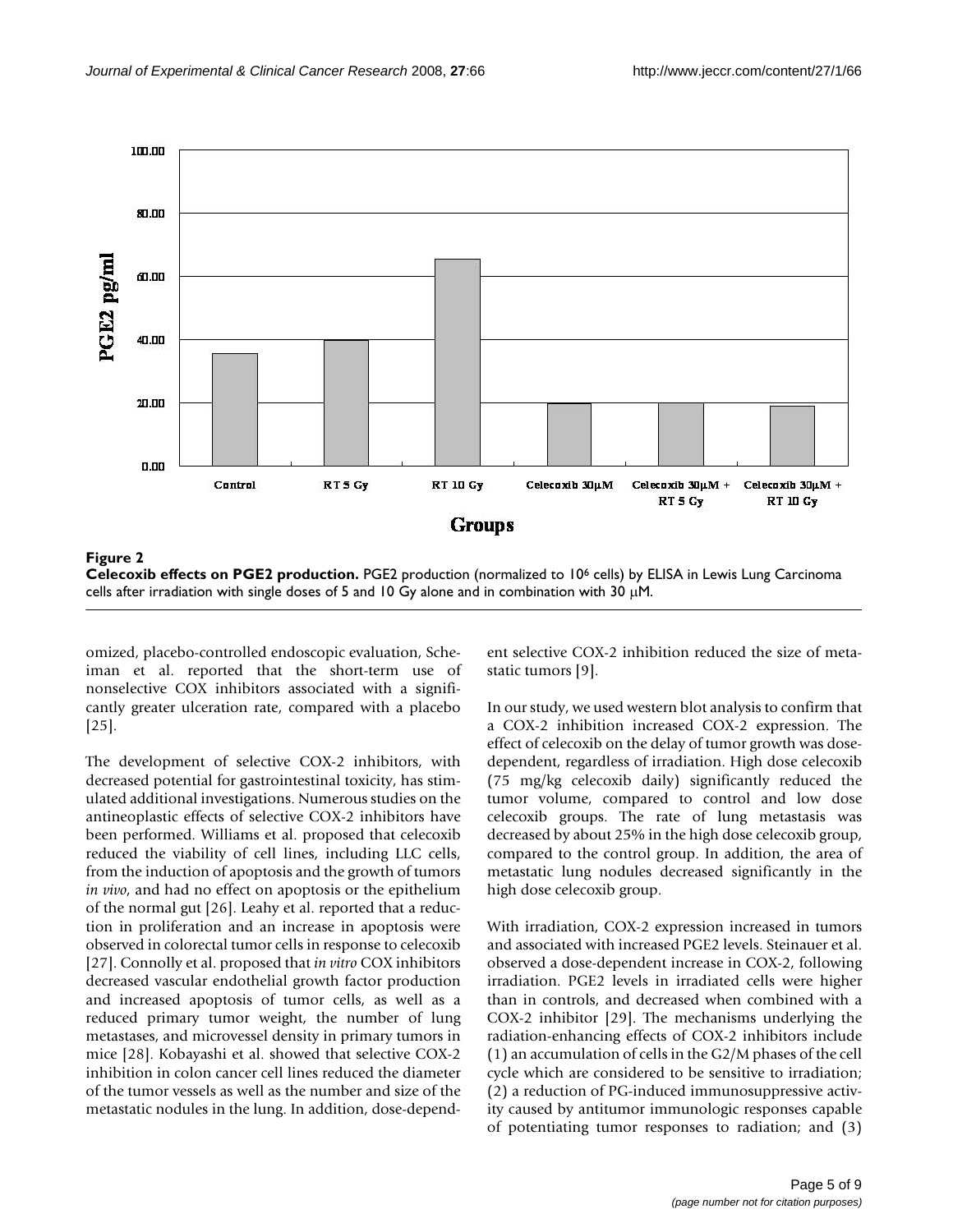

**Celecoxib effects on PGE2 production.** PGE2 production (normalized to 106 cells) by ELISA in Lewis Lung Carcinoma cells after irradiation with single doses of 5 and 10 Gy alone and in combination with 30  $\mu$ M.

omized, placebo-controlled endoscopic evaluation, Scheiman et al. reported that the short-term use of nonselective COX inhibitors associated with a significantly greater ulceration rate, compared with a placebo [25].

The development of selective COX-2 inhibitors, with decreased potential for gastrointestinal toxicity, has stimulated additional investigations. Numerous studies on the antineoplastic effects of selective COX-2 inhibitors have been performed. Williams et al. proposed that celecoxib reduced the viability of cell lines, including LLC cells, from the induction of apoptosis and the growth of tumors *in vivo*, and had no effect on apoptosis or the epithelium of the normal gut [26]. Leahy et al. reported that a reduction in proliferation and an increase in apoptosis were observed in colorectal tumor cells in response to celecoxib [27]. Connolly et al. proposed that *in vitro* COX inhibitors decreased vascular endothelial growth factor production and increased apoptosis of tumor cells, as well as a reduced primary tumor weight, the number of lung metastases, and microvessel density in primary tumors in mice [28]. Kobayashi et al. showed that selective COX-2 inhibition in colon cancer cell lines reduced the diameter of the tumor vessels as well as the number and size of the metastatic nodules in the lung. In addition, dose-dependent selective COX-2 inhibition reduced the size of metastatic tumors [9].

In our study, we used western blot analysis to confirm that a COX-2 inhibition increased COX-2 expression. The effect of celecoxib on the delay of tumor growth was dosedependent, regardless of irradiation. High dose celecoxib (75 mg/kg celecoxib daily) significantly reduced the tumor volume, compared to control and low dose celecoxib groups. The rate of lung metastasis was decreased by about 25% in the high dose celecoxib group, compared to the control group. In addition, the area of metastatic lung nodules decreased significantly in the high dose celecoxib group.

With irradiation, COX-2 expression increased in tumors and associated with increased PGE2 levels. Steinauer et al. observed a dose-dependent increase in COX-2, following irradiation. PGE2 levels in irradiated cells were higher than in controls, and decreased when combined with a COX-2 inhibitor [29]. The mechanisms underlying the radiation-enhancing effects of COX-2 inhibitors include (1) an accumulation of cells in the G2/M phases of the cell cycle which are considered to be sensitive to irradiation; (2) a reduction of PG-induced immunosuppressive activity caused by antitumor immunologic responses capable of potentiating tumor responses to radiation; and (3)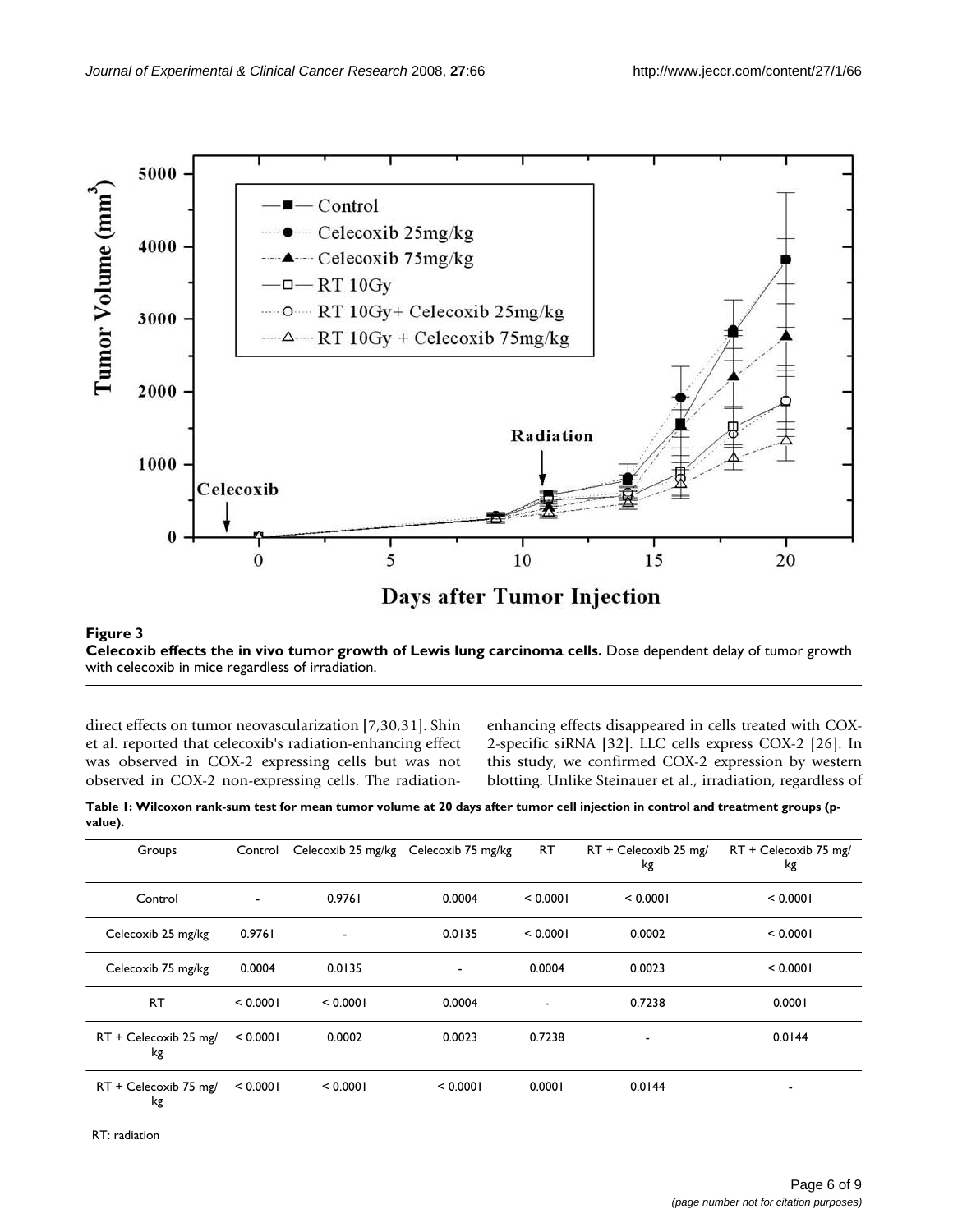

### Figure 3

**Celecoxib effects the in vivo tumor growth of Lewis lung carcinoma cells.** Dose dependent delay of tumor growth with celecoxib in mice regardless of irradiation.

direct effects on tumor neovascularization [7,30,31]. Shin et al. reported that celecoxib's radiation-enhancing effect was observed in COX-2 expressing cells but was not observed in COX-2 non-expressing cells. The radiationenhancing effects disappeared in cells treated with COX-2-specific siRNA [32]. LLC cells express COX-2 [26]. In this study, we confirmed COX-2 expression by western blotting. Unlike Steinauer et al., irradiation, regardless of

**Table 1: Wilcoxon rank-sum test for mean tumor volume at 20 days after tumor cell injection in control and treatment groups (pvalue).**

| Groups                      | Control        |          | Celecoxib 25 mg/kg Celecoxib 75 mg/kg | <b>RT</b>                | RT + Celecoxib 25 mg/<br>kg | RT + Celecoxib 75 mg/<br>kg |
|-----------------------------|----------------|----------|---------------------------------------|--------------------------|-----------------------------|-----------------------------|
| Control                     | $\blacksquare$ | 0.9761   | 0.0004                                | < 0.0001                 | < 0.0001                    | < 0.0001                    |
| Celecoxib 25 mg/kg          | 0.9761         | ٠        | 0.0135                                | < 0.0001                 | 0.0002                      | < 0.0001                    |
| Celecoxib 75 mg/kg          | 0.0004         | 0.0135   | ٠                                     | 0.0004                   | 0.0023                      | < 0.0001                    |
| RT                          | < 0.0001       | < 0.0001 | 0.0004                                | $\overline{\phantom{a}}$ | 0.7238                      | 0.0001                      |
| RT + Celecoxib 25 mg/<br>kg | < 0.0001       | 0.0002   | 0.0023                                | 0.7238                   | $\overline{\phantom{0}}$    | 0.0144                      |
| RT + Celecoxib 75 mg/<br>kg | < 0.0001       | < 0.0001 | < 0.0001                              | 0.0001                   | 0.0144                      | $\overline{\phantom{a}}$    |

RT: radiation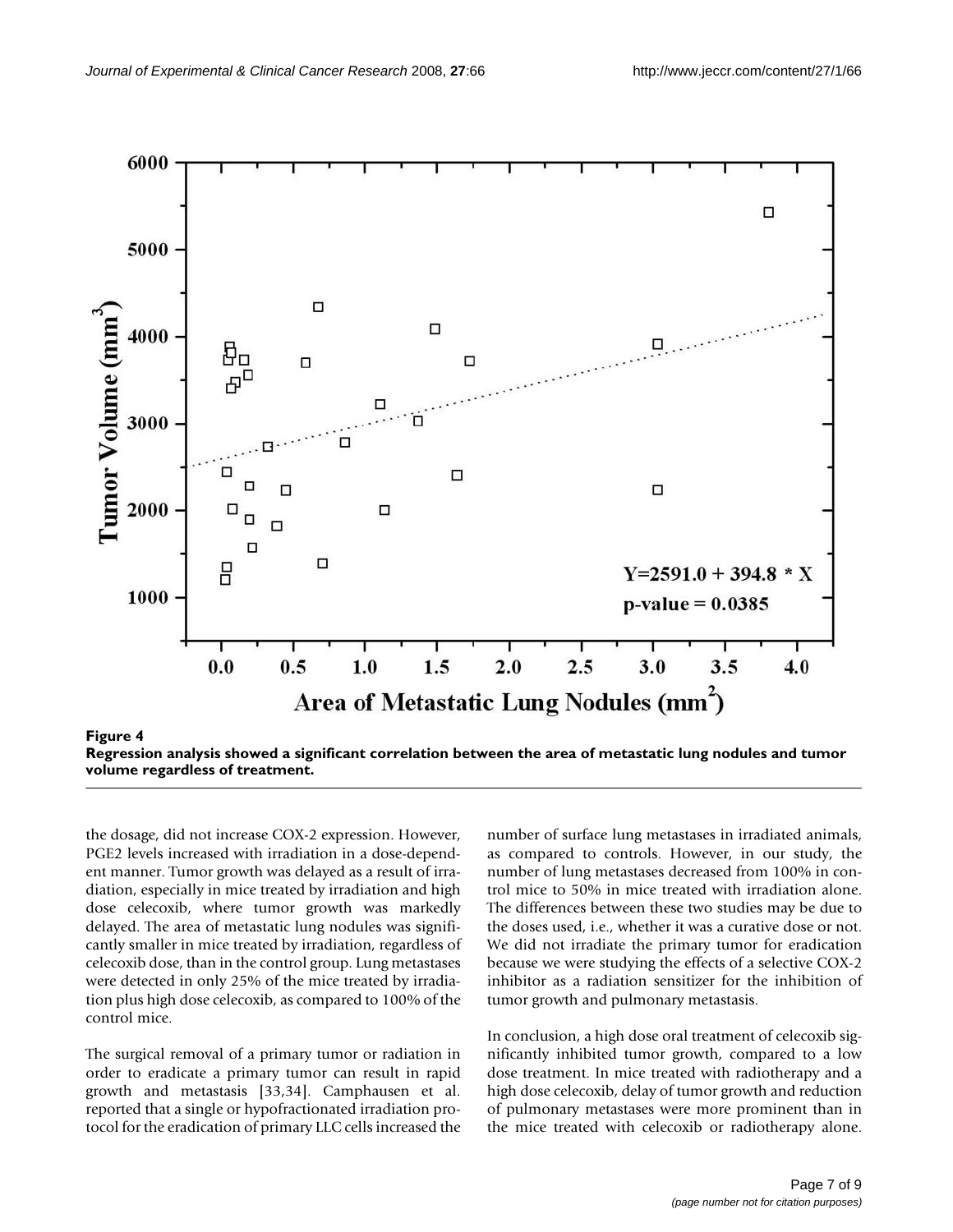

**Regression analysis showed a significant correlation between the area of metastatic lung nodules and tumor volume regardless of treatment.**

the dosage, did not increase COX-2 expression. However, PGE2 levels increased with irradiation in a dose-dependent manner. Tumor growth was delayed as a result of irradiation, especially in mice treated by irradiation and high dose celecoxib, where tumor growth was markedly delayed. The area of metastatic lung nodules was significantly smaller in mice treated by irradiation, regardless of celecoxib dose, than in the control group. Lung metastases were detected in only 25% of the mice treated by irradiation plus high dose celecoxib, as compared to 100% of the control mice.

The surgical removal of a primary tumor or radiation in order to eradicate a primary tumor can result in rapid growth and metastasis [33,34]. Camphausen et al. reported that a single or hypofractionated irradiation protocol for the eradication of primary LLC cells increased the number of surface lung metastases in irradiated animals, as compared to controls. However, in our study, the number of lung metastases decreased from 100% in control mice to 50% in mice treated with irradiation alone. The differences between these two studies may be due to the doses used, i.e., whether it was a curative dose or not. We did not irradiate the primary tumor for eradication because we were studying the effects of a selective COX-2 inhibitor as a radiation sensitizer for the inhibition of tumor growth and pulmonary metastasis.

In conclusion, a high dose oral treatment of celecoxib significantly inhibited tumor growth, compared to a low dose treatment. In mice treated with radiotherapy and a high dose celecoxib, delay of tumor growth and reduction of pulmonary metastases were more prominent than in the mice treated with celecoxib or radiotherapy alone.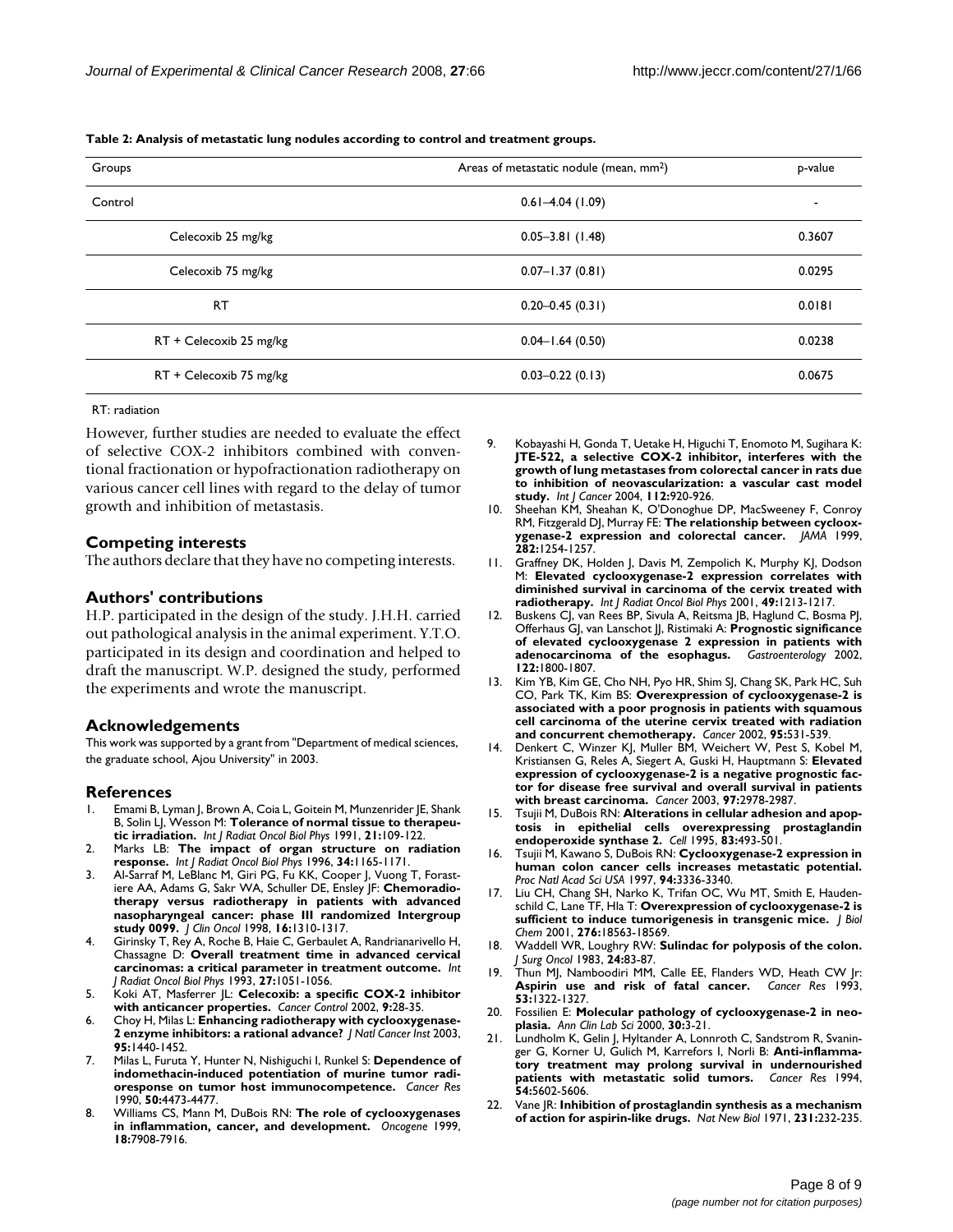**Table 2: Analysis of metastatic lung nodules according to control and treatment groups.**

| Groups                  | Areas of metastatic nodule (mean, mm <sup>2</sup> ) | p-value                  |
|-------------------------|-----------------------------------------------------|--------------------------|
| Control                 | $0.61 - 4.04(1.09)$                                 | $\overline{\phantom{a}}$ |
| Celecoxib 25 mg/kg      | $0.05 - 3.81$ (1.48)                                | 0.3607                   |
| Celecoxib 75 mg/kg      | $0.07 - 1.37(0.81)$                                 | 0.0295                   |
| <b>RT</b>               | $0.20 - 0.45(0.31)$                                 | 0.0181                   |
| RT + Celecoxib 25 mg/kg | $0.04 - 1.64(0.50)$                                 | 0.0238                   |
| RT + Celecoxib 75 mg/kg | $0.03 - 0.22$ (0.13)                                | 0.0675                   |

#### RT: radiation

However, further studies are needed to evaluate the effect of selective COX-2 inhibitors combined with conventional fractionation or hypofractionation radiotherapy on various cancer cell lines with regard to the delay of tumor growth and inhibition of metastasis.

#### **Competing interests**

The authors declare that they have no competing interests.

#### **Authors' contributions**

H.P. participated in the design of the study. J.H.H. carried out pathological analysis in the animal experiment. Y.T.O. participated in its design and coordination and helped to draft the manuscript. W.P. designed the study, performed the experiments and wrote the manuscript.

#### **Acknowledgements**

This work was supported by a grant from "Department of medical sciences, the graduate school, Ajou University" in 2003.

#### **References**

- 1. Emami B, Lyman J, Brown A, Coia L, Goitein M, Munzenrider JE, Shank B, Solin LJ, Wesson M: **[Tolerance of normal tissue to therapeu](http://www.ncbi.nlm.nih.gov/entrez/query.fcgi?cmd=Retrieve&db=PubMed&dopt=Abstract&list_uids=2032882)[tic irradiation.](http://www.ncbi.nlm.nih.gov/entrez/query.fcgi?cmd=Retrieve&db=PubMed&dopt=Abstract&list_uids=2032882)** *Int J Radiat Oncol Biol Phys* 1991, **21:**109-122.
- 2. Marks LB: **[The impact of organ structure on radiation](http://www.ncbi.nlm.nih.gov/entrez/query.fcgi?cmd=Retrieve&db=PubMed&dopt=Abstract&list_uids=8600102) [response.](http://www.ncbi.nlm.nih.gov/entrez/query.fcgi?cmd=Retrieve&db=PubMed&dopt=Abstract&list_uids=8600102)** *Int J Radiat Oncol Biol Phys* 1996, **34:**1165-1171.
- 3. Al-Sarraf M, LeBlanc M, Giri PG, Fu KK, Cooper J, Vuong T, Forastiere AA, Adams G, Sakr WA, Schuller DE, Ensley JF: **[Chemoradio](http://www.ncbi.nlm.nih.gov/entrez/query.fcgi?cmd=Retrieve&db=PubMed&dopt=Abstract&list_uids=9552031)[therapy versus radiotherapy in patients with advanced](http://www.ncbi.nlm.nih.gov/entrez/query.fcgi?cmd=Retrieve&db=PubMed&dopt=Abstract&list_uids=9552031) nasopharyngeal cancer: phase III randomized Intergroup [study 0099.](http://www.ncbi.nlm.nih.gov/entrez/query.fcgi?cmd=Retrieve&db=PubMed&dopt=Abstract&list_uids=9552031)** *J Clin Oncol* 1998, **16:**1310-1317.
- 4. Girinsky T, Rey A, Roche B, Haie C, Gerbaulet A, Randrianarivello H, Chassagne D: **[Overall treatment time in advanced cervical](http://www.ncbi.nlm.nih.gov/entrez/query.fcgi?cmd=Retrieve&db=PubMed&dopt=Abstract&list_uids=8262826) [carcinomas: a critical parameter in treatment outcome.](http://www.ncbi.nlm.nih.gov/entrez/query.fcgi?cmd=Retrieve&db=PubMed&dopt=Abstract&list_uids=8262826)** *Int J Radiat Oncol Biol Phys* 1993, **27:**1051-1056.
- 5. Koki AT, Masferrer JL: **[Celecoxib: a specific COX-2 inhibitor](http://www.ncbi.nlm.nih.gov/entrez/query.fcgi?cmd=Retrieve&db=PubMed&dopt=Abstract&list_uids=11965228) [with anticancer properties.](http://www.ncbi.nlm.nih.gov/entrez/query.fcgi?cmd=Retrieve&db=PubMed&dopt=Abstract&list_uids=11965228)** *Cancer Control* 2002, **9:**28-35.
- 6. Choy H, Milas L: **[Enhancing radiotherapy with cyclooxygenase-](http://www.ncbi.nlm.nih.gov/entrez/query.fcgi?cmd=Retrieve&db=PubMed&dopt=Abstract&list_uids=14519750)[2 enzyme inhibitors: a rational advance?](http://www.ncbi.nlm.nih.gov/entrez/query.fcgi?cmd=Retrieve&db=PubMed&dopt=Abstract&list_uids=14519750)** *J Natl Cancer Inst* 2003, **95:**1440-1452.
- 7. Milas L, Furuta Y, Hunter N, Nishiguchi I, Runkel S: **[Dependence of](http://www.ncbi.nlm.nih.gov/entrez/query.fcgi?cmd=Retrieve&db=PubMed&dopt=Abstract&list_uids=2369725) [indomethacin-induced potentiation of murine tumor radi](http://www.ncbi.nlm.nih.gov/entrez/query.fcgi?cmd=Retrieve&db=PubMed&dopt=Abstract&list_uids=2369725)[oresponse on tumor host immunocompetence.](http://www.ncbi.nlm.nih.gov/entrez/query.fcgi?cmd=Retrieve&db=PubMed&dopt=Abstract&list_uids=2369725)** *Cancer Res* 1990, **50:**4473-4477.
- 8. Williams CS, Mann M, DuBois RN: **[The role of cyclooxygenases](http://www.ncbi.nlm.nih.gov/entrez/query.fcgi?cmd=Retrieve&db=PubMed&dopt=Abstract&list_uids=10630643) [in inflammation, cancer, and development.](http://www.ncbi.nlm.nih.gov/entrez/query.fcgi?cmd=Retrieve&db=PubMed&dopt=Abstract&list_uids=10630643)** *Oncogene* 1999, **18:**7908-7916.
- 9. Kobayashi H, Gonda T, Uetake H, Higuchi T, Enomoto M, Sugihara K: **JTE-522, a selective COX-2 inhibitor, interferes with the [growth of lung metastases from colorectal cancer in rats due](http://www.ncbi.nlm.nih.gov/entrez/query.fcgi?cmd=Retrieve&db=PubMed&dopt=Abstract&list_uids=15386343) to inhibition of neovascularization: a vascular cast model [study.](http://www.ncbi.nlm.nih.gov/entrez/query.fcgi?cmd=Retrieve&db=PubMed&dopt=Abstract&list_uids=15386343)** *Int J Cancer* 2004, **112:**920-926.
- 10. Sheehan KM, Sheahan K, O'Donoghue DP, MacSweeney F, Conroy RM, Fitzgerald DJ, Murray FE: **[The relationship between cycloox](http://www.ncbi.nlm.nih.gov/entrez/query.fcgi?cmd=Retrieve&db=PubMed&dopt=Abstract&list_uids=10517428)[ygenase-2 expression and colorectal cancer.](http://www.ncbi.nlm.nih.gov/entrez/query.fcgi?cmd=Retrieve&db=PubMed&dopt=Abstract&list_uids=10517428)** *JAMA* 1999, **282:**1254-1257.
- 11. Graffney DK, Holden J, Davis M, Zempolich K, Murphy KJ, Dodson M: **[Elevated cyclooxygenase-2 expression correlates with](http://www.ncbi.nlm.nih.gov/entrez/query.fcgi?cmd=Retrieve&db=PubMed&dopt=Abstract&list_uids=11286825) [diminished survival in carcinoma of the cervix treated with](http://www.ncbi.nlm.nih.gov/entrez/query.fcgi?cmd=Retrieve&db=PubMed&dopt=Abstract&list_uids=11286825) [radiotherapy.](http://www.ncbi.nlm.nih.gov/entrez/query.fcgi?cmd=Retrieve&db=PubMed&dopt=Abstract&list_uids=11286825)** *Int J Radiat Oncol Biol Phys* 2001, **49:**1213-1217.
- 12. Buskens CJ, van Rees BP, Sivula A, Reitsma JB, Haglund C, Bosma PJ, Offerhaus GJ, van Lanschot JJ, Ristimaki A: **[Prognostic significance](http://www.ncbi.nlm.nih.gov/entrez/query.fcgi?cmd=Retrieve&db=PubMed&dopt=Abstract&list_uids=12055587) [of elevated cyclooxygenase 2 expression in patients with](http://www.ncbi.nlm.nih.gov/entrez/query.fcgi?cmd=Retrieve&db=PubMed&dopt=Abstract&list_uids=12055587)** [adenocarcinoma of the esophagus.](http://www.ncbi.nlm.nih.gov/entrez/query.fcgi?cmd=Retrieve&db=PubMed&dopt=Abstract&list_uids=12055587) **122:**1800-1807.
- 13. Kim YB, Kim GE, Cho NH, Pyo HR, Shim SJ, Chang SK, Park HC, Suh CO, Park TK, Kim BS: **[Overexpression of cyclooxygenase-2 is](http://www.ncbi.nlm.nih.gov/entrez/query.fcgi?cmd=Retrieve&db=PubMed&dopt=Abstract&list_uids=12209745) [associated with a poor prognosis in patients with squamous](http://www.ncbi.nlm.nih.gov/entrez/query.fcgi?cmd=Retrieve&db=PubMed&dopt=Abstract&list_uids=12209745) cell carcinoma of the uterine cervix treated with radiation [and concurrent chemotherapy.](http://www.ncbi.nlm.nih.gov/entrez/query.fcgi?cmd=Retrieve&db=PubMed&dopt=Abstract&list_uids=12209745)** *Cancer* 2002, **95:**531-539.
- 14. Denkert C, Winzer KJ, Muller BM, Weichert W, Pest S, Kobel M, Kristiansen G, Reles A, Siegert A, Guski H, Hauptmann S: **[Elevated](http://www.ncbi.nlm.nih.gov/entrez/query.fcgi?cmd=Retrieve&db=PubMed&dopt=Abstract&list_uids=12784332) [expression of cyclooxygenase-2 is a negative prognostic fac](http://www.ncbi.nlm.nih.gov/entrez/query.fcgi?cmd=Retrieve&db=PubMed&dopt=Abstract&list_uids=12784332)tor for disease free survival and overall survival in patients [with breast carcinoma.](http://www.ncbi.nlm.nih.gov/entrez/query.fcgi?cmd=Retrieve&db=PubMed&dopt=Abstract&list_uids=12784332)** *Cancer* 2003, **97:**2978-2987.
- 15. Tsujii M, DuBois RN: **[Alterations in cellular adhesion and apop](http://www.ncbi.nlm.nih.gov/entrez/query.fcgi?cmd=Retrieve&db=PubMed&dopt=Abstract&list_uids=8521479)[tosis in epithelial cells overexpressing prostaglandin](http://www.ncbi.nlm.nih.gov/entrez/query.fcgi?cmd=Retrieve&db=PubMed&dopt=Abstract&list_uids=8521479) [endoperoxide synthase 2.](http://www.ncbi.nlm.nih.gov/entrez/query.fcgi?cmd=Retrieve&db=PubMed&dopt=Abstract&list_uids=8521479)** *Cell* 1995, **83:**493-501.
- 16. Tsujii M, Kawano S, DuBois RN: **[Cyclooxygenase-2 expression in](http://www.ncbi.nlm.nih.gov/entrez/query.fcgi?cmd=Retrieve&db=PubMed&dopt=Abstract&list_uids=9096394) [human colon cancer cells increases metastatic potential.](http://www.ncbi.nlm.nih.gov/entrez/query.fcgi?cmd=Retrieve&db=PubMed&dopt=Abstract&list_uids=9096394)** *Proc Natl Acad Sci USA* 1997, **94:**3336-3340.
- 17. Liu CH, Chang SH, Narko K, Trifan OC, Wu MT, Smith E, Haudenschild C, Lane TF, Hla T: **[Overexpression of cyclooxygenase-2 is](http://www.ncbi.nlm.nih.gov/entrez/query.fcgi?cmd=Retrieve&db=PubMed&dopt=Abstract&list_uids=11278747) [sufficient to induce tumorigenesis in transgenic mice.](http://www.ncbi.nlm.nih.gov/entrez/query.fcgi?cmd=Retrieve&db=PubMed&dopt=Abstract&list_uids=11278747)** *J Biol Chem* 2001, **276:**18563-18569.
- 18. Waddell WR, Loughry RW: **[Sulindac for polyposis of the colon.](http://www.ncbi.nlm.nih.gov/entrez/query.fcgi?cmd=Retrieve&db=PubMed&dopt=Abstract&list_uids=6887943)** *J Surg Oncol* 1983, **24:**83-87.
- 19. Thun MJ, Namboodiri MM, Calle EE, Flanders WD, Heath CW Jr: **[Aspirin use and risk of fatal cancer.](http://www.ncbi.nlm.nih.gov/entrez/query.fcgi?cmd=Retrieve&db=PubMed&dopt=Abstract&list_uids=8443812)** *Cancer Res* 1993, **53:**1322-1327.
- 20. Fossilien E: **[Molecular pathology of cyclooxygenase-2 in neo](http://www.ncbi.nlm.nih.gov/entrez/query.fcgi?cmd=Retrieve&db=PubMed&dopt=Abstract&list_uids=10678579)[plasia.](http://www.ncbi.nlm.nih.gov/entrez/query.fcgi?cmd=Retrieve&db=PubMed&dopt=Abstract&list_uids=10678579)** *Ann Clin Lab Sci* 2000, **30:**3-21.
- 21. Lundholm K, Gelin J, Hyltander A, Lonnroth C, Sandstrom R, Svaninger G, Korner U, Gulich M, Karrefors I, Norli B: **[Anti-inflamma](http://www.ncbi.nlm.nih.gov/entrez/query.fcgi?cmd=Retrieve&db=PubMed&dopt=Abstract&list_uids=7923204)[tory treatment may prolong survival in undernourished](http://www.ncbi.nlm.nih.gov/entrez/query.fcgi?cmd=Retrieve&db=PubMed&dopt=Abstract&list_uids=7923204) [patients with metastatic solid tumors.](http://www.ncbi.nlm.nih.gov/entrez/query.fcgi?cmd=Retrieve&db=PubMed&dopt=Abstract&list_uids=7923204)** *Cancer Res* 1994, **54:**5602-5606.
- 22. Vane JR: **[Inhibition of prostaglandin synthesis as a mechanism](http://www.ncbi.nlm.nih.gov/entrez/query.fcgi?cmd=Retrieve&db=PubMed&dopt=Abstract&list_uids=5284360) [of action for aspirin-like drugs.](http://www.ncbi.nlm.nih.gov/entrez/query.fcgi?cmd=Retrieve&db=PubMed&dopt=Abstract&list_uids=5284360)** *Nat New Biol* 1971, **231:**232-235.